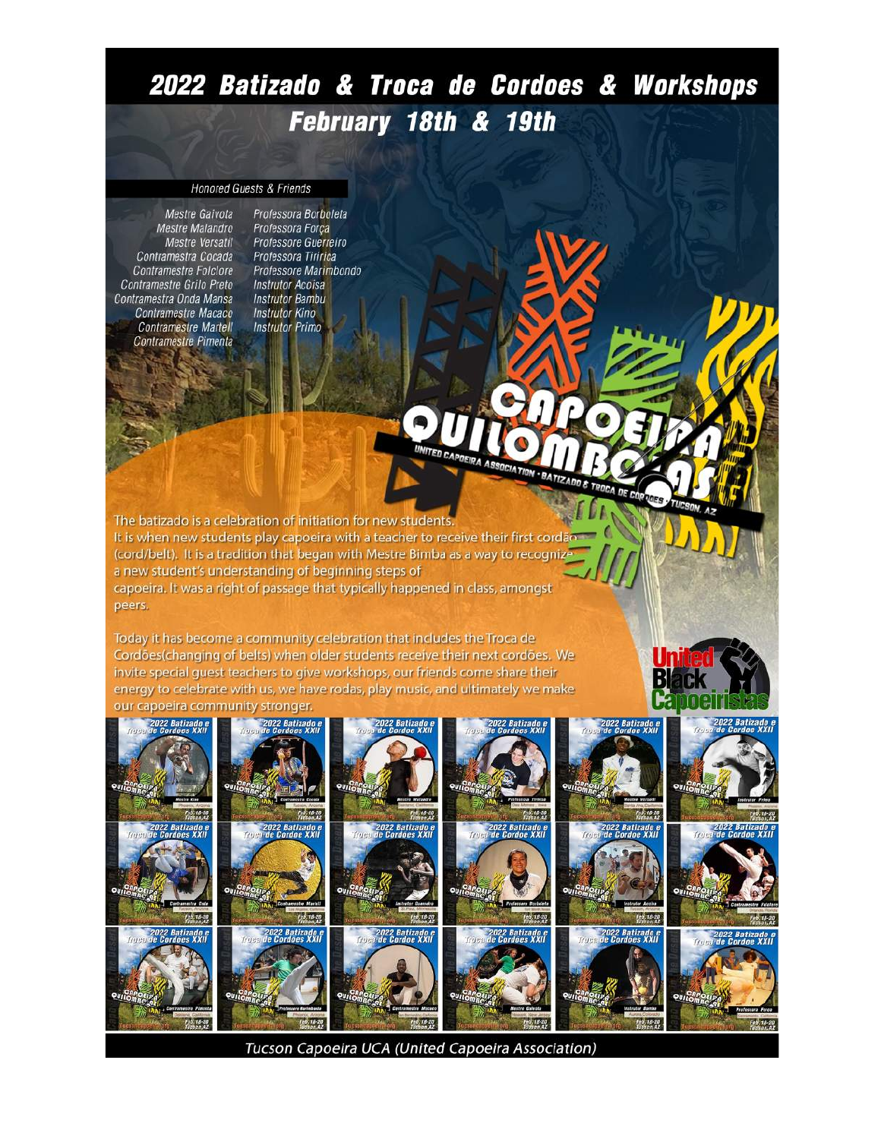# 2022 Batizado & Troca de Cordoes & Workshops February 18th & 19th

**JEIRA ASSOC** 

#### **Honored Guests & Friends**

Mestre Gaivota Mestre Malandro Mestre Versatil Contramestra Cocada **Contramestre Folclore** Contramestre Grilo Preto Contramestra Onda Mansa Contramestre Macaco **Contramestre Martell** Contramestre Pimenta

Professora Borboleta Professora Força Professore Guerreiro Professora Tiririca Professore Marimbondo **Instrutor Acoisa Instrutor Bambu Instrutor Kino Instrutor Primo** 

The batizado is a celebration of initiation for new students It is when new students play capoeira with a teacher to receive their first cordão (cord/belt). It is a tradition that began with Mestre Bimba as a way to recogni a new student's understanding of beginning steps of capoeira. It was a right of passage that typically happened in class, amongst peers.

Today it has become a community celebration that includes the Troca de Cordões(changing of belts) when older students receive their next cordões. We invite special guest teachers to give workshops, our friends come share their energy to celebrate with us, we have rodas, play music, and ultimately we make our capoeira community stronger.



Tucson Capoeira UCA (United Capoeira Association)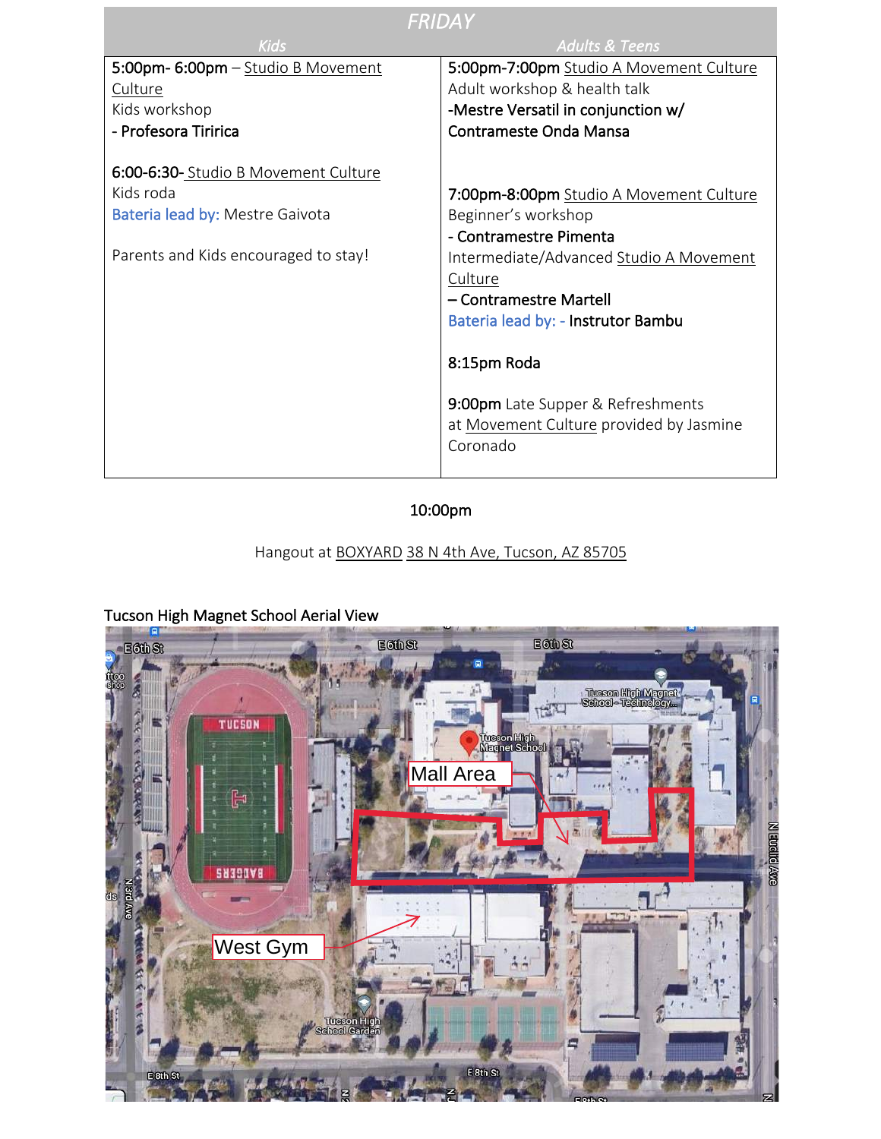| FRIDAY                                                                                                                      |                                                                                                                                                                                                                                                                                                                           |
|-----------------------------------------------------------------------------------------------------------------------------|---------------------------------------------------------------------------------------------------------------------------------------------------------------------------------------------------------------------------------------------------------------------------------------------------------------------------|
| <b>Kids</b>                                                                                                                 | <b>Adults &amp; Teens</b>                                                                                                                                                                                                                                                                                                 |
| 5:00pm- 6:00pm - Studio B Movement                                                                                          | 5:00pm-7:00pm Studio A Movement Culture                                                                                                                                                                                                                                                                                   |
| Culture                                                                                                                     | Adult workshop & health talk                                                                                                                                                                                                                                                                                              |
| Kids workshop                                                                                                               | -Mestre Versatil in conjunction w/                                                                                                                                                                                                                                                                                        |
| - Profesora Tiririca                                                                                                        | Contrameste Onda Mansa                                                                                                                                                                                                                                                                                                    |
| 6:00-6:30-Studio B Movement Culture<br>Kids roda<br>Bateria lead by: Mestre Gaivota<br>Parents and Kids encouraged to stay! | 7:00pm-8:00pm Studio A Movement Culture<br>Beginner's workshop<br>- Contramestre Pimenta<br>Intermediate/Advanced Studio A Movement<br>Culture<br>- Contramestre Martell<br>Bateria lead by: - Instrutor Bambu<br>8:15pm Roda<br>9:00pm Late Supper & Refreshments<br>at Movement Culture provided by Jasmine<br>Coronado |
|                                                                                                                             |                                                                                                                                                                                                                                                                                                                           |

## 10:00pm

#### Hangout at BOXYARD 38 N 4th Ave, Tucson, AZ 85705

# E6thSt Eother **Musson High Magnat**<br>School - Technology **MT** TUCSON **Tueson High<br>Magnat Schoo Mall Area** H **N Erreite SN390V8** West Gym E, E 8th St ESTAS

 $\blacksquare$ 

#### Tucson High Magnet School Aerial View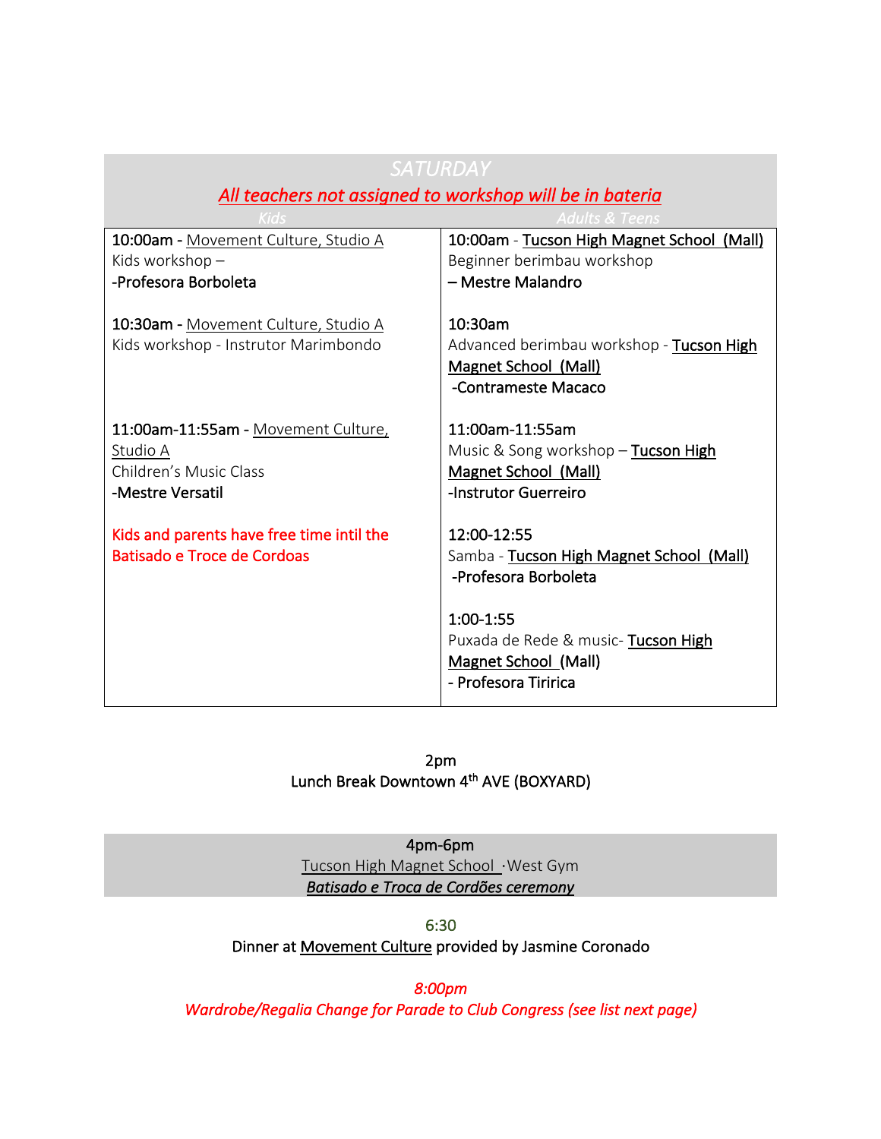| 1 / レ / ۱レ /                                                                 |                                                                                                           |
|------------------------------------------------------------------------------|-----------------------------------------------------------------------------------------------------------|
| All teachers not assigned to workshop will be in bateria                     |                                                                                                           |
|                                                                              | Adults <u>&amp; Teens</u>                                                                                 |
| 10:00am - Movement Culture, Studio A                                         | 10:00am - Tucson High Magnet School (Mall)                                                                |
| Kids workshop -                                                              | Beginner berimbau workshop                                                                                |
| -Profesora Borboleta                                                         | - Mestre Malandro                                                                                         |
| 10:30am - Movement Culture, Studio A<br>Kids workshop - Instrutor Marimbondo | 10:30am<br>Advanced berimbau workshop - Tucson High<br><b>Magnet School (Mall)</b><br>-Contrameste Macaco |
| 11:00am-11:55am - Movement Culture,                                          | 11:00am-11:55am                                                                                           |
| Studio A                                                                     | Music & Song workshop - Tucson High                                                                       |
| Children's Music Class                                                       | Magnet School (Mall)                                                                                      |
| -Mestre Versatil                                                             | -Instrutor Guerreiro                                                                                      |
| Kids and parents have free time intil the<br>Batisado e Troce de Cordoas     | 12:00-12:55<br>Samba - Tucson High Magnet School (Mall)<br>-Profesora Borboleta                           |
|                                                                              | 1:00-1:55<br>Puxada de Rede & music-Tucson High<br><b>Magnet School (Mall)</b><br>- Profesora Tiririca    |

*SATURDAY* 

2pm Lunch Break Downtown 4<sup>th</sup> AVE (BOXYARD)

4pm-6pm Tucson High Magnet School ⋅West Gym *Batisado e Troca de Cordões ceremony*

6:30

Dinner at Movement Culture provided by Jasmine Coronado

*8:00pm* 

*Wardrobe/Regalia Change for Parade to Club Congress (see list next page)*